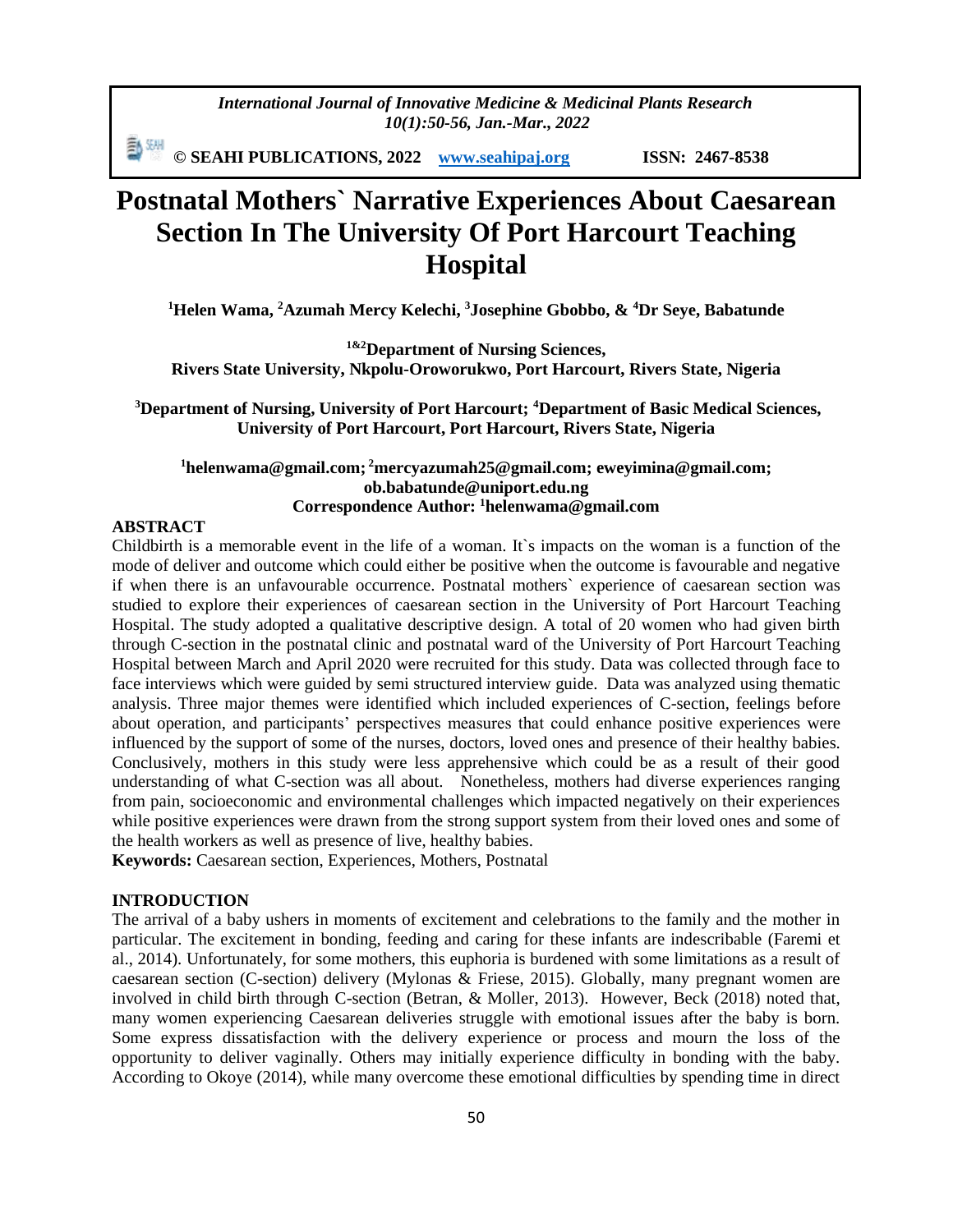*International Journal of Innovative Medicine & Medicinal Plants Research 10(1):50-56, Jan.-Mar., 2022*

動網 **© SEAHI PUBLICATIONS, 2022 [www.seahipaj.org](http://www.seahipaj.org/) ISSN: 2467-8538**

# **Postnatal Mothers` Narrative Experiences About Caesarean Section In The University Of Port Harcourt Teaching Hospital**

**<sup>1</sup>Helen Wama, <sup>2</sup>Azumah Mercy Kelechi, <sup>3</sup>Josephine Gbobbo, & <sup>4</sup>Dr Seye, Babatunde**

**1&2Department of Nursing Sciences, Rivers State University, Nkpolu-Oroworukwo, Port Harcourt, Rivers State, Nigeria**

**<sup>3</sup>Department of Nursing, University of Port Harcourt; <sup>4</sup>Department of Basic Medical Sciences, University of Port Harcourt, Port Harcourt, Rivers State, Nigeria**

# **<sup>1</sup>helenwama@gmail.com; <sup>2</sup>[mercyazumah25@gmail.com;](mailto:2mercyazumah25@gmail.com) [eweyimina@gmail.com;](mailto:eweyimina@gmail.com) ob.babatunde@uniport.edu.ng Correspondence Author: <sup>1</sup>helenwama@gmail.com**

#### **ABSTRACT**

Childbirth is a memorable event in the life of a woman. It`s impacts on the woman is a function of the mode of deliver and outcome which could either be positive when the outcome is favourable and negative if when there is an unfavourable occurrence. Postnatal mothers` experience of caesarean section was studied to explore their experiences of caesarean section in the University of Port Harcourt Teaching Hospital. The study adopted a qualitative descriptive design. A total of 20 women who had given birth through C-section in the postnatal clinic and postnatal ward of the University of Port Harcourt Teaching Hospital between March and April 2020 were recruited for this study. Data was collected through face to face interviews which were guided by semi structured interview guide. Data was analyzed using thematic analysis. Three major themes were identified which included experiences of C-section, feelings before about operation, and participants' perspectives measures that could enhance positive experiences were influenced by the support of some of the nurses, doctors, loved ones and presence of their healthy babies. Conclusively, mothers in this study were less apprehensive which could be as a result of their good understanding of what C-section was all about. Nonetheless, mothers had diverse experiences ranging from pain, socioeconomic and environmental challenges which impacted negatively on their experiences while positive experiences were drawn from the strong support system from their loved ones and some of the health workers as well as presence of live, healthy babies.

**Keywords:** Caesarean section, Experiences, Mothers, Postnatal

## **INTRODUCTION**

The arrival of a baby ushers in moments of excitement and celebrations to the family and the mother in particular. The excitement in bonding, feeding and caring for these infants are indescribable (Faremi et al., 2014). Unfortunately, for some mothers, this euphoria is burdened with some limitations as a result of caesarean section (C-section) delivery (Mylonas & Friese, 2015). Globally, many pregnant women are involved in child birth through C-section (Betran, & Moller, 2013). However, Beck (2018) noted that, many women experiencing Caesarean deliveries struggle with emotional issues after the baby is born. Some express dissatisfaction with the delivery experience or process and mourn the loss of the opportunity to deliver vaginally. Others may initially experience difficulty in bonding with the baby. According to Okoye (2014), while many overcome these emotional difficulties by spending time in direct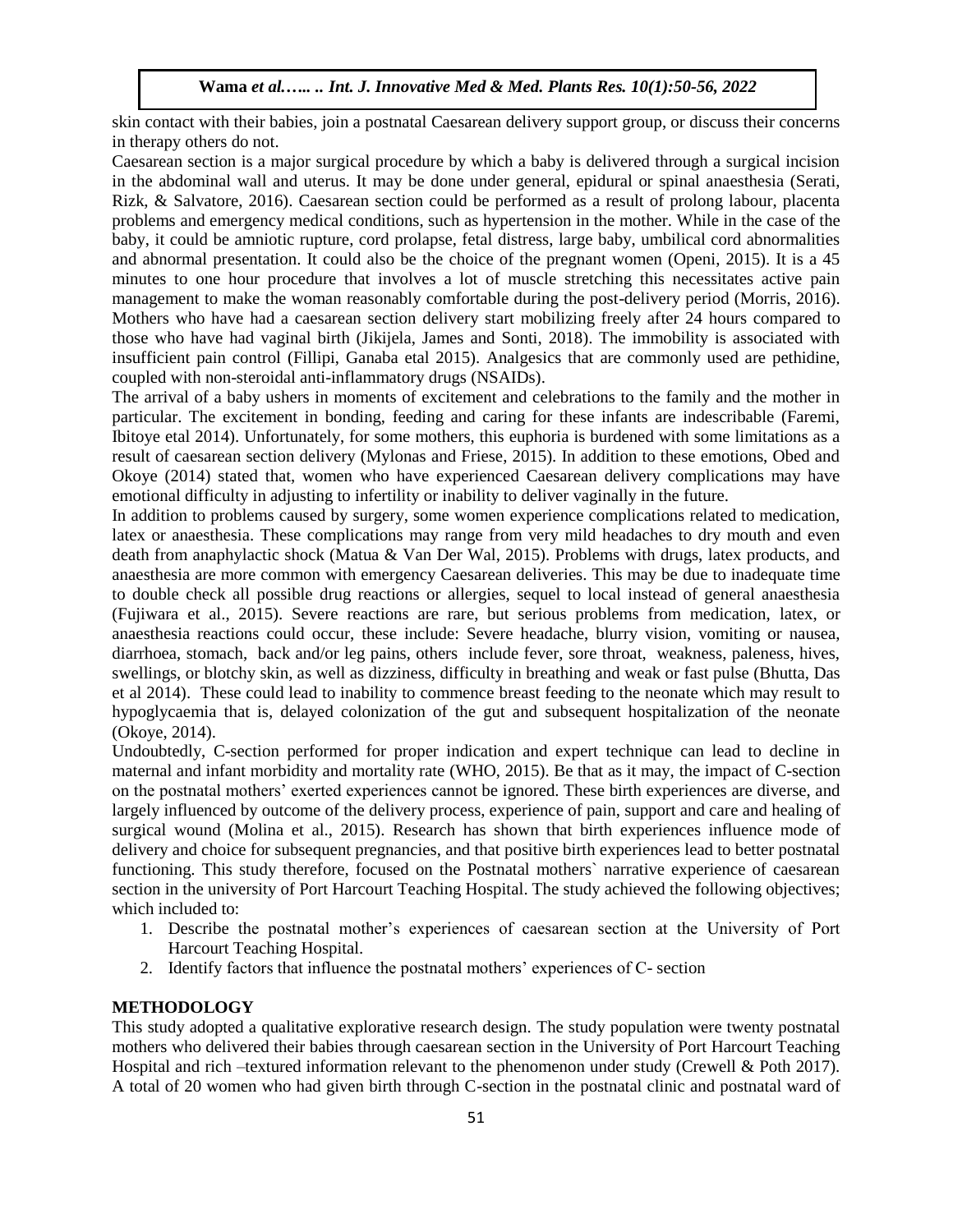skin contact with their babies, join a postnatal Caesarean delivery support group, or discuss their concerns in therapy others do not.

Caesarean section is a major surgical procedure by which a baby is delivered through a surgical incision in the abdominal wall and uterus. It may be done under general, epidural or spinal anaesthesia (Serati, Rizk, & Salvatore, 2016). Caesarean section could be performed as a result of prolong labour, placenta problems and emergency medical conditions, such as hypertension in the mother. While in the case of the baby, it could be amniotic rupture, cord prolapse, fetal distress, large baby, umbilical cord abnormalities and abnormal presentation. It could also be the choice of the pregnant women (Openi, 2015). It is a 45 minutes to one hour procedure that involves a lot of muscle stretching this necessitates active pain management to make the woman reasonably comfortable during the post-delivery period (Morris, 2016). Mothers who have had a caesarean section delivery start mobilizing freely after 24 hours compared to those who have had vaginal birth (Jikijela, James and Sonti, 2018). The immobility is associated with insufficient pain control (Fillipi, Ganaba etal 2015). Analgesics that are commonly used are pethidine, coupled with non-steroidal anti-inflammatory drugs (NSAIDs).

The arrival of a baby ushers in moments of excitement and celebrations to the family and the mother in particular. The excitement in bonding, feeding and caring for these infants are indescribable (Faremi, Ibitoye etal 2014). Unfortunately, for some mothers, this euphoria is burdened with some limitations as a result of caesarean section delivery (Mylonas and Friese, 2015). In addition to these emotions, Obed and Okoye (2014) stated that, women who have experienced Caesarean delivery complications may have emotional difficulty in adjusting to infertility or inability to deliver vaginally in the future.

In addition to problems caused by surgery, some women experience complications related to medication, latex or anaesthesia. These complications may range from very mild headaches to dry mouth and even death from anaphylactic shock (Matua & Van Der Wal, 2015). Problems with drugs, latex products, and anaesthesia are more common with emergency Caesarean deliveries. This may be due to inadequate time to double check all possible drug reactions or allergies, sequel to local instead of general anaesthesia (Fujiwara et al., 2015). Severe reactions are rare, but serious problems from medication, latex, or anaesthesia reactions could occur, these include: Severe headache, blurry vision, vomiting or nausea, diarrhoea, stomach, back and/or leg pains, others include fever, sore throat, weakness, paleness, hives, swellings, or blotchy skin, as well as dizziness, difficulty in breathing and weak or fast pulse (Bhutta, Das et al 2014). These could lead to inability to commence breast feeding to the neonate which may result to hypoglycaemia that is, delayed colonization of the gut and subsequent hospitalization of the neonate (Okoye, 2014).

Undoubtedly, C-section performed for proper indication and expert technique can lead to decline in maternal and infant morbidity and mortality rate (WHO, 2015). Be that as it may, the impact of C-section on the postnatal mothers' exerted experiences cannot be ignored. These birth experiences are diverse, and largely influenced by outcome of the delivery process, experience of pain, support and care and healing of surgical wound (Molina et al., 2015). Research has shown that birth experiences influence mode of delivery and choice for subsequent pregnancies, and that positive birth experiences lead to better postnatal functioning. This study therefore, focused on the Postnatal mothers` narrative experience of caesarean section in the university of Port Harcourt Teaching Hospital. The study achieved the following objectives; which included to:

- 1. Describe the postnatal mother's experiences of caesarean section at the University of Port Harcourt Teaching Hospital.
- 2. Identify factors that influence the postnatal mothers' experiences of C- section

## **METHODOLOGY**

This study adopted a qualitative explorative research design. The study population were twenty postnatal mothers who delivered their babies through caesarean section in the University of Port Harcourt Teaching Hospital and rich –textured information relevant to the phenomenon under study (Crewell & Poth 2017). A total of 20 women who had given birth through C-section in the postnatal clinic and postnatal ward of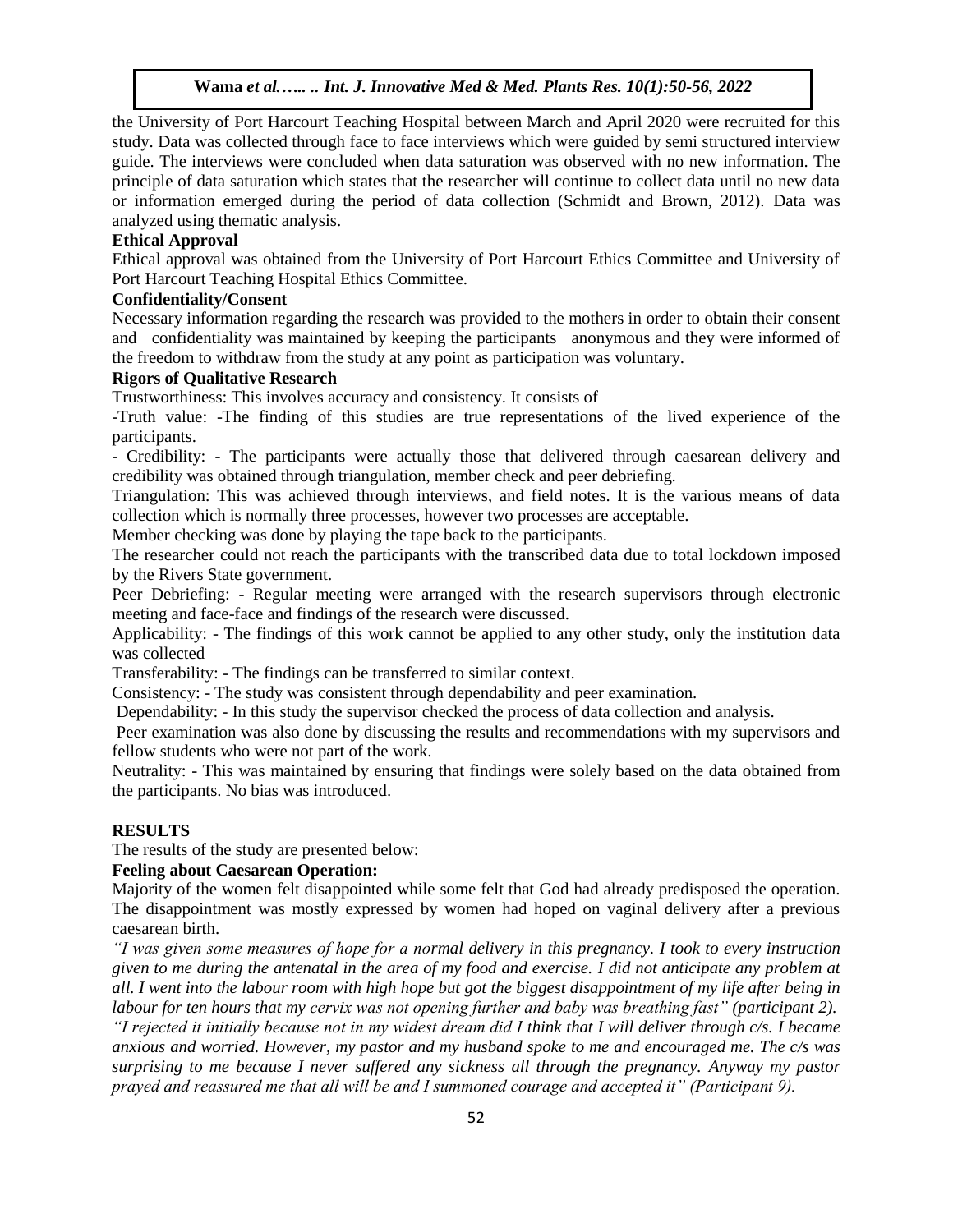the University of Port Harcourt Teaching Hospital between March and April 2020 were recruited for this study. Data was collected through face to face interviews which were guided by semi structured interview guide. The interviews were concluded when data saturation was observed with no new information. The principle of data saturation which states that the researcher will continue to collect data until no new data or information emerged during the period of data collection (Schmidt and Brown, 2012). Data was analyzed using thematic analysis.

# **Ethical Approval**

Ethical approval was obtained from the University of Port Harcourt Ethics Committee and University of Port Harcourt Teaching Hospital Ethics Committee.

# **Confidentiality/Consent**

Necessary information regarding the research was provided to the mothers in order to obtain their consent and confidentiality was maintained by keeping the participants anonymous and they were informed of the freedom to withdraw from the study at any point as participation was voluntary.

# **Rigors of Qualitative Research**

Trustworthiness: This involves accuracy and consistency. It consists of

-Truth value: -The finding of this studies are true representations of the lived experience of the participants.

- Credibility: - The participants were actually those that delivered through caesarean delivery and credibility was obtained through triangulation, member check and peer debriefing.

Triangulation: This was achieved through interviews, and field notes. It is the various means of data collection which is normally three processes, however two processes are acceptable.

Member checking was done by playing the tape back to the participants.

The researcher could not reach the participants with the transcribed data due to total lockdown imposed by the Rivers State government.

Peer Debriefing: - Regular meeting were arranged with the research supervisors through electronic meeting and face-face and findings of the research were discussed.

Applicability: - The findings of this work cannot be applied to any other study, only the institution data was collected

Transferability: - The findings can be transferred to similar context.

Consistency: - The study was consistent through dependability and peer examination.

Dependability: - In this study the supervisor checked the process of data collection and analysis.

Peer examination was also done by discussing the results and recommendations with my supervisors and fellow students who were not part of the work.

Neutrality: - This was maintained by ensuring that findings were solely based on the data obtained from the participants. No bias was introduced.

## **RESULTS**

The results of the study are presented below:

## **Feeling about Caesarean Operation:**

Majority of the women felt disappointed while some felt that God had already predisposed the operation. The disappointment was mostly expressed by women had hoped on vaginal delivery after a previous caesarean birth.

*"I was given some measures of hope for a normal delivery in this pregnancy. I took to every instruction given to me during the antenatal in the area of my food and exercise. I did not anticipate any problem at all. I went into the labour room with high hope but got the biggest disappointment of my life after being in labour for ten hours that my cervix was not opening further and baby was breathing fast" (participant 2).*

*"I rejected it initially because not in my widest dream did I think that I will deliver through c/s. I became anxious and worried. However, my pastor and my husband spoke to me and encouraged me. The c/s was surprising to me because I never suffered any sickness all through the pregnancy. Anyway my pastor prayed and reassured me that all will be and I summoned courage and accepted it" (Participant 9).*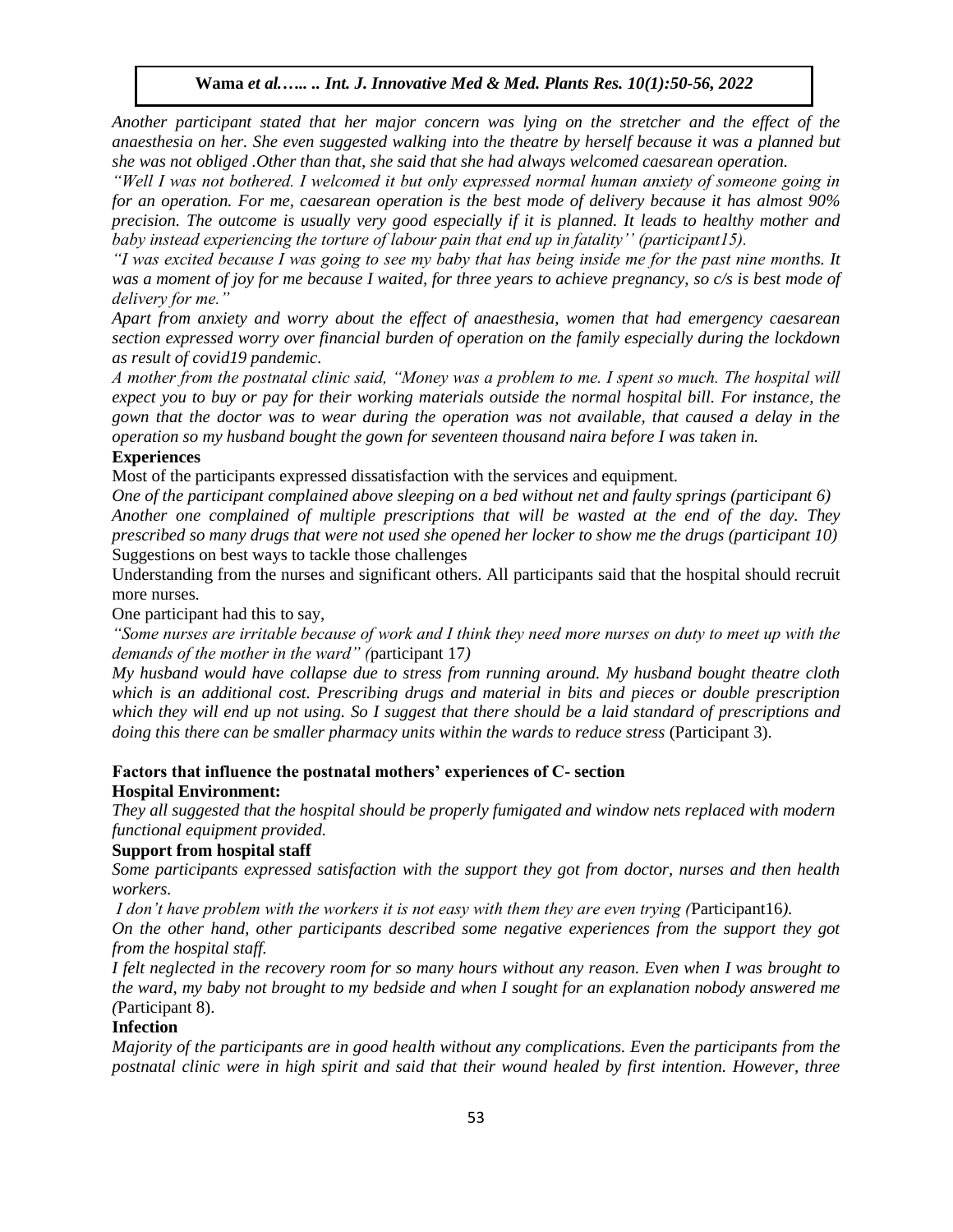*Another participant stated that her major concern was lying on the stretcher and the effect of the anaesthesia on her. She even suggested walking into the theatre by herself because it was a planned but she was not obliged .Other than that, she said that she had always welcomed caesarean operation.*

*"Well I was not bothered. I welcomed it but only expressed normal human anxiety of someone going in for an operation. For me, caesarean operation is the best mode of delivery because it has almost 90% precision. The outcome is usually very good especially if it is planned. It leads to healthy mother and baby instead experiencing the torture of labour pain that end up in fatality'' (participant15).*

*"I was excited because I was going to see my baby that has being inside me for the past nine months. It was a moment of joy for me because I waited, for three years to achieve pregnancy, so c/s is best mode of delivery for me."*

*Apart from anxiety and worry about the effect of anaesthesia, women that had emergency caesarean section expressed worry over financial burden of operation on the family especially during the lockdown as result of covid19 pandemic.*

*A mother from the postnatal clinic said, "Money was a problem to me. I spent so much. The hospital will expect you to buy or pay for their working materials outside the normal hospital bill. For instance, the gown that the doctor was to wear during the operation was not available, that caused a delay in the operation so my husband bought the gown for seventeen thousand naira before I was taken in.*

## **Experiences**

Most of the participants expressed dissatisfaction with the services and equipment.

*One of the participant complained above sleeping on a bed without net and faulty springs (participant 6) Another one complained of multiple prescriptions that will be wasted at the end of the day. They prescribed so many drugs that were not used she opened her locker to show me the drugs (participant 10)* Suggestions on best ways to tackle those challenges

Understanding from the nurses and significant others. All participants said that the hospital should recruit more nurses.

One participant had this to say,

*"Some nurses are irritable because of work and I think they need more nurses on duty to meet up with the demands of the mother in the ward" (*participant 17*)*

*My husband would have collapse due to stress from running around. My husband bought theatre cloth which is an additional cost. Prescribing drugs and material in bits and pieces or double prescription which they will end up not using. So I suggest that there should be a laid standard of prescriptions and doing this there can be smaller pharmacy units within the wards to reduce stress* (Participant 3).

## **Factors that influence the postnatal mothers' experiences of C- section Hospital Environment:**

*They all suggested that the hospital should be properly fumigated and window nets replaced with modern functional equipment provided.* 

### **Support from hospital staff**

*Some participants expressed satisfaction with the support they got from doctor, nurses and then health workers.*

*I don't have problem with the workers it is not easy with them they are even trying (*Participant16*).* 

*On the other hand, other participants described some negative experiences from the support they got from the hospital staff.*

*I felt neglected in the recovery room for so many hours without any reason. Even when I was brought to the ward, my baby not brought to my bedside and when I sought for an explanation nobody answered me (*Participant 8).

## **Infection**

*Majority of the participants are in good health without any complications. Even the participants from the postnatal clinic were in high spirit and said that their wound healed by first intention. However, three*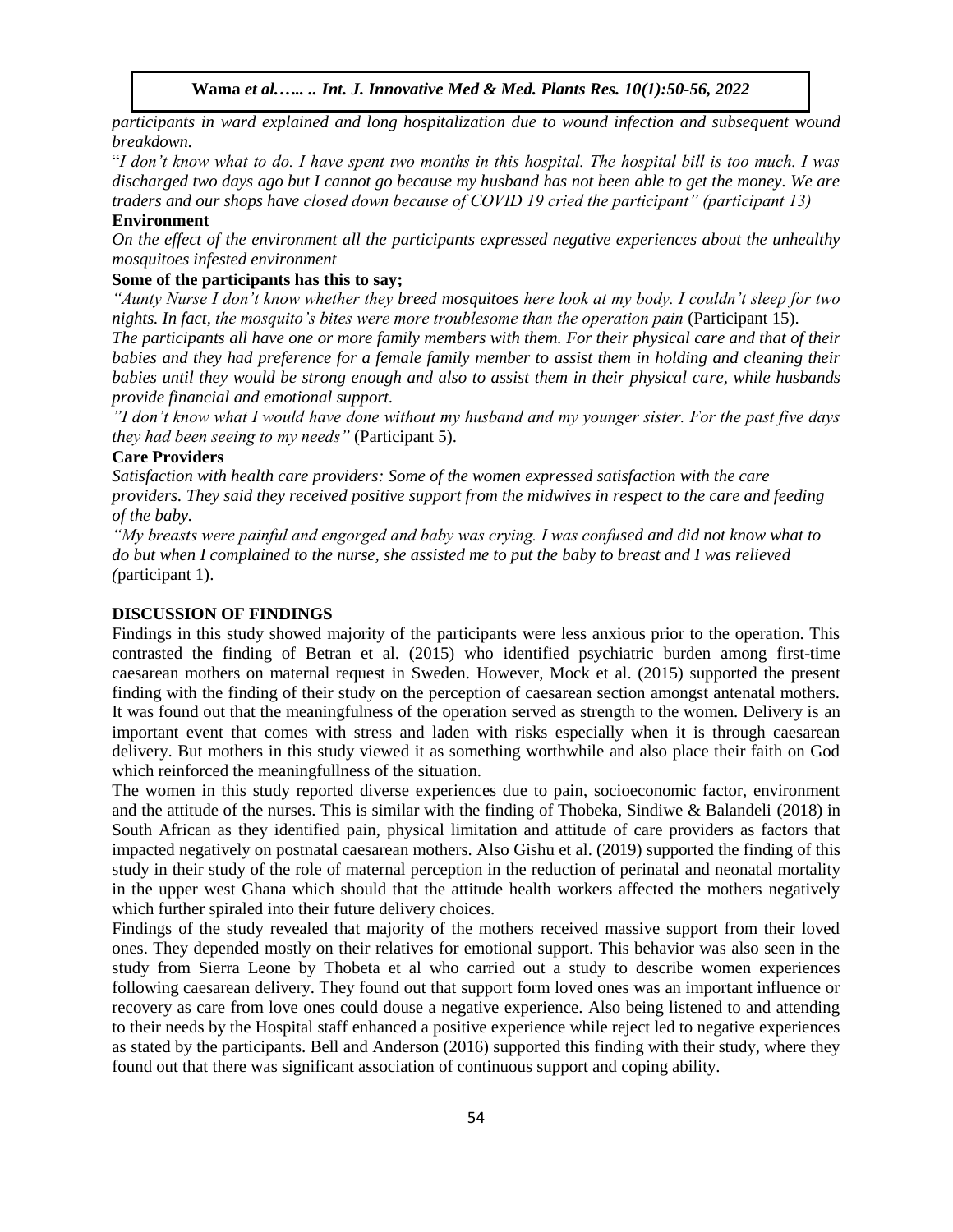*participants in ward explained and long hospitalization due to wound infection and subsequent wound breakdown.* 

"*I don't know what to do. I have spent two months in this hospital. The hospital bill is too much. I was discharged two days ago but I cannot go because my husband has not been able to get the money. We are traders and our shops have closed down because of COVID 19 cried the participant" (participant 13)*

#### **Environment**

*On the effect of the environment all the participants expressed negative experiences about the unhealthy mosquitoes infested environment* 

## **Some of the participants has this to say;**

*"Aunty Nurse I don't know whether they breed mosquitoes here look at my body. I couldn't sleep for two nights. In fact, the mosquito's bites were more troublesome than the operation pain* (Participant 15).

*The participants all have one or more family members with them. For their physical care and that of their babies and they had preference for a female family member to assist them in holding and cleaning their babies until they would be strong enough and also to assist them in their physical care, while husbands provide financial and emotional support.*

*"I don't know what I would have done without my husband and my younger sister. For the past five days they had been seeing to my needs"* (Participant 5).

#### **Care Providers**

*Satisfaction with health care providers: Some of the women expressed satisfaction with the care providers. They said they received positive support from the midwives in respect to the care and feeding of the baby.*

*"My breasts were painful and engorged and baby was crying. I was confused and did not know what to do but when I complained to the nurse, she assisted me to put the baby to breast and I was relieved (*participant 1).

#### **DISCUSSION OF FINDINGS**

Findings in this study showed majority of the participants were less anxious prior to the operation. This contrasted the finding of Betran et al. (2015) who identified psychiatric burden among first-time caesarean mothers on maternal request in Sweden. However, Mock et al. (2015) supported the present finding with the finding of their study on the perception of caesarean section amongst antenatal mothers. It was found out that the meaningfulness of the operation served as strength to the women. Delivery is an important event that comes with stress and laden with risks especially when it is through caesarean delivery. But mothers in this study viewed it as something worthwhile and also place their faith on God which reinforced the meaningfullness of the situation.

The women in this study reported diverse experiences due to pain, socioeconomic factor, environment and the attitude of the nurses. This is similar with the finding of Thobeka, Sindiwe & Balandeli (2018) in South African as they identified pain, physical limitation and attitude of care providers as factors that impacted negatively on postnatal caesarean mothers. Also Gishu et al. (2019) supported the finding of this study in their study of the role of maternal perception in the reduction of perinatal and neonatal mortality in the upper west Ghana which should that the attitude health workers affected the mothers negatively which further spiraled into their future delivery choices.

Findings of the study revealed that majority of the mothers received massive support from their loved ones. They depended mostly on their relatives for emotional support. This behavior was also seen in the study from Sierra Leone by Thobeta et al who carried out a study to describe women experiences following caesarean delivery. They found out that support form loved ones was an important influence or recovery as care from love ones could douse a negative experience. Also being listened to and attending to their needs by the Hospital staff enhanced a positive experience while reject led to negative experiences as stated by the participants. Bell and Anderson (2016) supported this finding with their study, where they found out that there was significant association of continuous support and coping ability.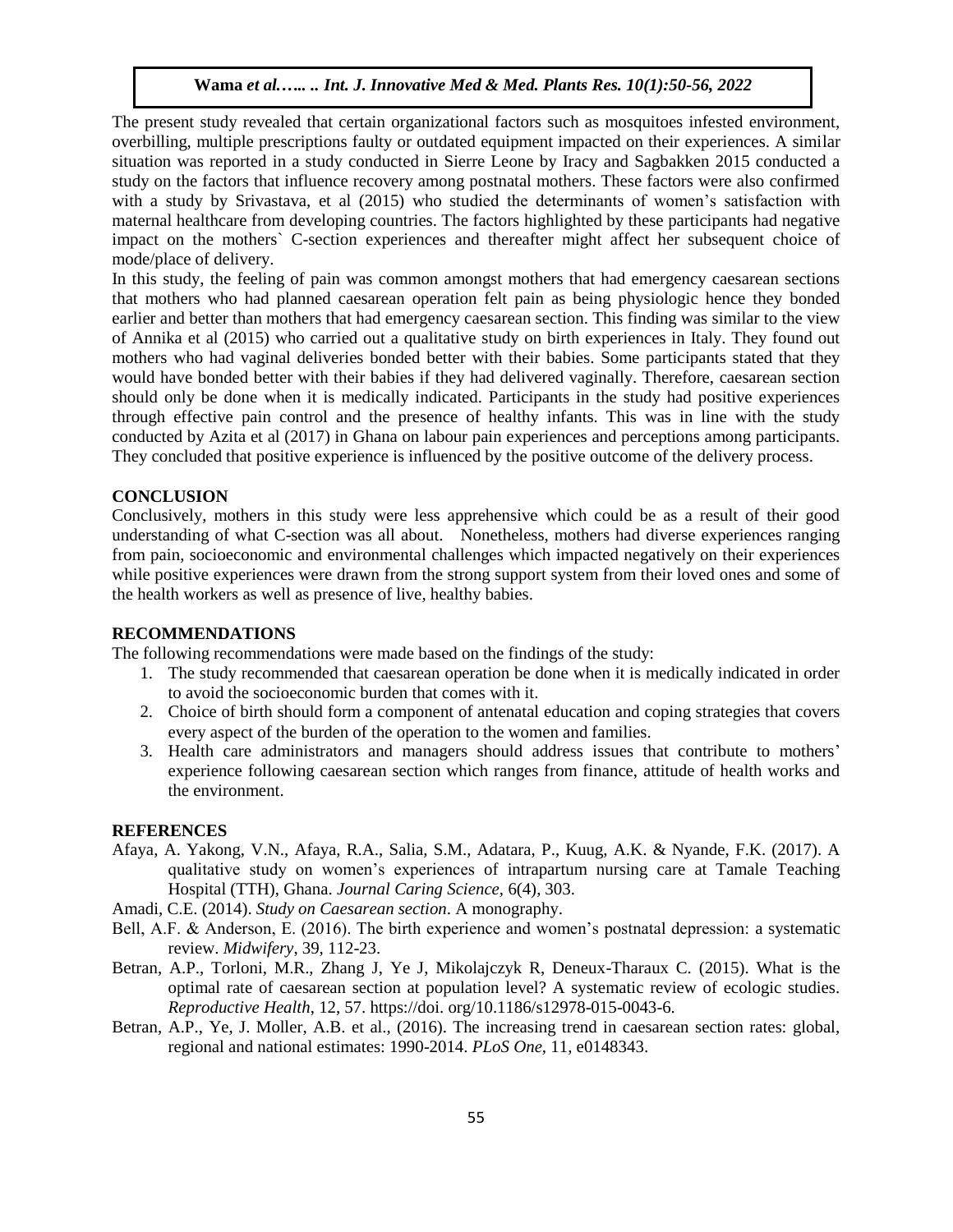The present study revealed that certain organizational factors such as mosquitoes infested environment, overbilling, multiple prescriptions faulty or outdated equipment impacted on their experiences. A similar situation was reported in a study conducted in Sierre Leone by Iracy and Sagbakken 2015 conducted a study on the factors that influence recovery among postnatal mothers. These factors were also confirmed with a study by Srivastava, et al (2015) who studied the determinants of women's satisfaction with maternal healthcare from developing countries. The factors highlighted by these participants had negative impact on the mothers` C-section experiences and thereafter might affect her subsequent choice of mode/place of delivery.

In this study, the feeling of pain was common amongst mothers that had emergency caesarean sections that mothers who had planned caesarean operation felt pain as being physiologic hence they bonded earlier and better than mothers that had emergency caesarean section. This finding was similar to the view of Annika et al (2015) who carried out a qualitative study on birth experiences in Italy. They found out mothers who had vaginal deliveries bonded better with their babies. Some participants stated that they would have bonded better with their babies if they had delivered vaginally. Therefore, caesarean section should only be done when it is medically indicated. Participants in the study had positive experiences through effective pain control and the presence of healthy infants. This was in line with the study conducted by Azita et al (2017) in Ghana on labour pain experiences and perceptions among participants. They concluded that positive experience is influenced by the positive outcome of the delivery process.

#### **CONCLUSION**

Conclusively, mothers in this study were less apprehensive which could be as a result of their good understanding of what C-section was all about. Nonetheless, mothers had diverse experiences ranging from pain, socioeconomic and environmental challenges which impacted negatively on their experiences while positive experiences were drawn from the strong support system from their loved ones and some of the health workers as well as presence of live, healthy babies.

## **RECOMMENDATIONS**

The following recommendations were made based on the findings of the study:

- 1. The study recommended that caesarean operation be done when it is medically indicated in order to avoid the socioeconomic burden that comes with it.
- 2. Choice of birth should form a component of antenatal education and coping strategies that covers every aspect of the burden of the operation to the women and families.
- 3. Health care administrators and managers should address issues that contribute to mothers' experience following caesarean section which ranges from finance, attitude of health works and the environment.

#### **REFERENCES**

Afaya, A. Yakong, V.N., Afaya, R.A., Salia, S.M., Adatara, P., Kuug, A.K. & Nyande, F.K. (2017). A qualitative study on women's experiences of intrapartum nursing care at Tamale Teaching Hospital (TTH), Ghana. *Journal Caring Science,* 6(4), 303.

Amadi, C.E. (2014). *Study on Caesarean section*. A monography.

- Bell, A.F. & Anderson, E. (2016). The birth experience and women's postnatal depression: a systematic review. *Midwifery*, 39, 112-23.
- Betran, A.P., Torloni, M.R., Zhang J, Ye J, Mikolajczyk R, Deneux-Tharaux C. (2015). What is the optimal rate of caesarean section at population level? A systematic review of ecologic studies. *Reproductive Health*, 12, 57. https://doi. org/10.1186/s12978-015-0043-6.
- Betran, A.P., Ye, J. Moller, A.B. et al., (2016). The increasing trend in caesarean section rates: global, regional and national estimates: 1990-2014. *PLoS One*, 11, e0148343.